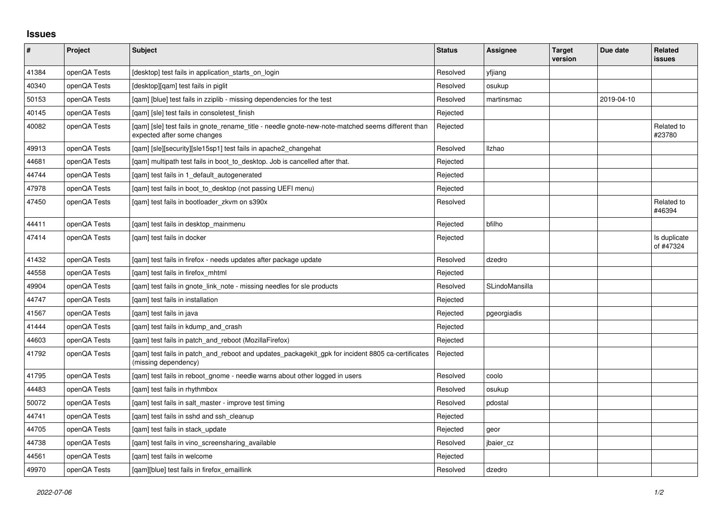## **Issues**

| $\sharp$ | Project      | <b>Subject</b>                                                                                                                   | <b>Status</b> | Assignee       | <b>Target</b><br>version | Due date   | Related<br><b>issues</b>  |
|----------|--------------|----------------------------------------------------------------------------------------------------------------------------------|---------------|----------------|--------------------------|------------|---------------------------|
| 41384    | openQA Tests | [desktop] test fails in application starts on login                                                                              | Resolved      | yfjiang        |                          |            |                           |
| 40340    | openQA Tests | [desktop][gam] test fails in piglit                                                                                              | Resolved      | osukup         |                          |            |                           |
| 50153    | openQA Tests | [qam] [blue] test fails in zziplib - missing dependencies for the test                                                           | Resolved      | martinsmac     |                          | 2019-04-10 |                           |
| 40145    | openQA Tests | [qam] [sle] test fails in consoletest_finish                                                                                     | Rejected      |                |                          |            |                           |
| 40082    | openQA Tests | [gam] [sle] test fails in gnote rename title - needle gnote-new-note-matched seems different than<br>expected after some changes | Rejected      |                |                          |            | Related to<br>#23780      |
| 49913    | openQA Tests | [qam] [sle][security][sle15sp1] test fails in apache2_changehat                                                                  | Resolved      | Ilzhao         |                          |            |                           |
| 44681    | openQA Tests | [gam] multipath test fails in boot to desktop. Job is cancelled after that.                                                      | Rejected      |                |                          |            |                           |
| 44744    | openQA Tests | [qam] test fails in 1_default_autogenerated                                                                                      | Rejected      |                |                          |            |                           |
| 47978    | openQA Tests | [gam] test fails in boot to desktop (not passing UEFI menu)                                                                      | Rejected      |                |                          |            |                           |
| 47450    | openQA Tests | [gam] test fails in bootloader zkvm on s390x                                                                                     | Resolved      |                |                          |            | Related to<br>#46394      |
| 44411    | openQA Tests | [qam] test fails in desktop_mainmenu                                                                                             | Rejected      | bfilho         |                          |            |                           |
| 47414    | openQA Tests | [gam] test fails in docker                                                                                                       | Rejected      |                |                          |            | Is duplicate<br>of #47324 |
| 41432    | openQA Tests | [gam] test fails in firefox - needs updates after package update                                                                 | Resolved      | dzedro         |                          |            |                           |
| 44558    | openQA Tests | [gam] test fails in firefox mhtml                                                                                                | Rejected      |                |                          |            |                           |
| 49904    | openQA Tests | [gam] test fails in gnote link note - missing needles for sle products                                                           | Resolved      | SLindoMansilla |                          |            |                           |
| 44747    | openQA Tests | [gam] test fails in installation                                                                                                 | Rejected      |                |                          |            |                           |
| 41567    | openQA Tests | [gam] test fails in java                                                                                                         | Rejected      | pgeorgiadis    |                          |            |                           |
| 41444    | openQA Tests | [qam] test fails in kdump_and_crash                                                                                              | Rejected      |                |                          |            |                           |
| 44603    | openQA Tests | [gam] test fails in patch and reboot (MozillaFirefox)                                                                            | Rejected      |                |                          |            |                           |
| 41792    | openQA Tests | [qam] test fails in patch_and_reboot and updates_packagekit_gpk for incident 8805 ca-certificates<br>(missing dependency)        | Rejected      |                |                          |            |                           |
| 41795    | openQA Tests | [qam] test fails in reboot_gnome - needle warns about other logged in users                                                      | Resolved      | coolo          |                          |            |                           |
| 44483    | openQA Tests | [gam] test fails in rhythmbox                                                                                                    | Resolved      | osukup         |                          |            |                           |
| 50072    | openQA Tests | [gam] test fails in salt master - improve test timing                                                                            | Resolved      | pdostal        |                          |            |                           |
| 44741    | openQA Tests | [gam] test fails in sshd and ssh cleanup                                                                                         | Rejected      |                |                          |            |                           |
| 44705    | openQA Tests | [qam] test fails in stack_update                                                                                                 | Rejected      | geor           |                          |            |                           |
| 44738    | openQA Tests | [gam] test fails in vino screensharing available                                                                                 | Resolved      | jbaier_cz      |                          |            |                           |
| 44561    | openQA Tests | [qam] test fails in welcome                                                                                                      | Rejected      |                |                          |            |                           |
| 49970    | openQA Tests | [gam][blue] test fails in firefox emaillink                                                                                      | Resolved      | dzedro         |                          |            |                           |